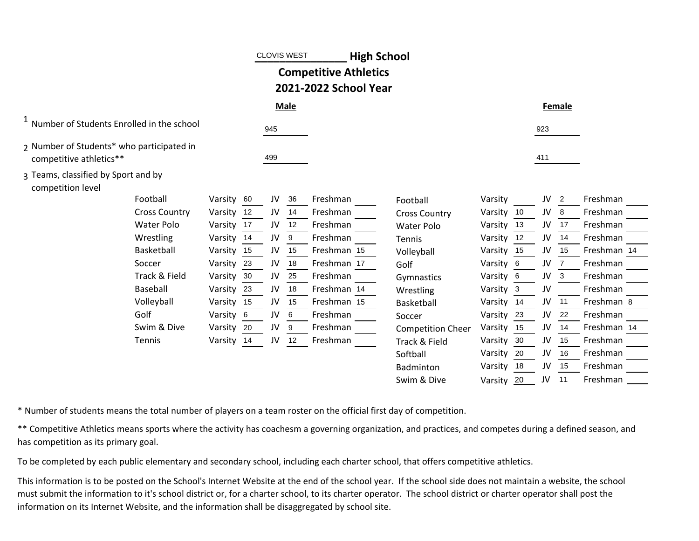|                                                                      |            |    |     | <b>CLOVIS WEST</b> | <b>High School</b>                                    |                          |            |     |     |                |             |  |
|----------------------------------------------------------------------|------------|----|-----|--------------------|-------------------------------------------------------|--------------------------|------------|-----|-----|----------------|-------------|--|
|                                                                      |            |    |     |                    | <b>Competitive Athletics</b><br>2021-2022 School Year |                          |            |     |     |                |             |  |
|                                                                      |            |    |     | <b>Male</b>        |                                                       |                          |            |     |     | Female         |             |  |
| <sup>1</sup> Number of Students Enrolled in the school               |            |    | 945 |                    |                                                       |                          |            |     | 923 |                |             |  |
| 2 Number of Students* who participated in<br>competitive athletics** |            |    | 499 |                    |                                                       |                          |            |     | 411 |                |             |  |
| 3 Teams, classified by Sport and by<br>competition level             |            |    |     |                    |                                                       |                          |            |     |     |                |             |  |
| Football                                                             | Varsity 60 |    | JV  | 36                 | Freshman                                              | Football                 | Varsity    |     | JV  | $\overline{2}$ | Freshman    |  |
| <b>Cross Country</b>                                                 | Varsity    | 12 | JV  | 14                 | Freshman                                              | <b>Cross Country</b>     | Varsity    | 10  | JV  | 8              | Freshman    |  |
| <b>Water Polo</b>                                                    | Varsity 17 |    | JV  | 12                 | Freshman                                              | <b>Water Polo</b>        | Varsity    | -13 | JV  | 17             | Freshman    |  |
| Wrestling                                                            | Varsity    | 14 | JV  | 9                  | Freshman                                              | <b>Tennis</b>            | Varsity    | 12  | JV  | 14             | Freshman    |  |
| Basketball                                                           | Varsity    | 15 | JV  | 15                 | Freshman 15                                           | Volleyball               | Varsity    | 15  | JV  | 15             | Freshman 14 |  |
| Soccer                                                               | Varsity    | 23 | JV  | 18                 | Freshman 17                                           | Golf                     | Varsity    | - 6 | JV  |                | Freshman    |  |
| Track & Field                                                        | Varsity    | 30 | JV  | 25                 | Freshman                                              | Gymnastics               | Varsity 6  |     | JV  | 3              | Freshman    |  |
| Baseball                                                             | Varsity 23 |    | JV  | 18                 | Freshman 14                                           | Wrestling                | Varsity    | -3  | JV  |                | Freshman    |  |
| Volleyball                                                           | Varsity 15 |    | JV  | 15                 | Freshman 15                                           | Basketball               | Varsity 14 |     | JV  | 11             | Freshman 8  |  |
| Golf                                                                 | Varsity 6  |    | JV  | 6                  | Freshman                                              | Soccer                   | Varsity    | 23  | JV  | 22             | Freshman    |  |
| Swim & Dive                                                          | Varsity    | 20 | JV  | 9                  | Freshman                                              | <b>Competition Cheer</b> | Varsity    | 15  | JV  | 14             | Freshman 14 |  |
| Tennis                                                               | Varsity 14 |    | JV  | 12                 | Freshman                                              | Track & Field            | Varsity    | 30  | JV  | 15             | Freshman    |  |
|                                                                      |            |    |     |                    |                                                       | Softball                 | Varsity    | 20  | JV  | 16             | Freshman    |  |
|                                                                      |            |    |     |                    |                                                       | Badminton                | Varsity    | 18  | JV  | 15             | Freshman    |  |
|                                                                      |            |    |     |                    |                                                       | Swim & Dive              | Varsity    | 20  | JV  | 11             | Freshman    |  |

\* Number of students means the total number of players on a team roster on the official first day of competition.

\*\* Competitive Athletics means sports where the activity has coachesm a governing organization, and practices, and competes during a defined season, and has competition as its primary goal.

To be completed by each public elementary and secondary school, including each charter school, that offers competitive athletics.

This information is to be posted on the School's Internet Website at the end of the school year. If the school side does not maintain a website, the school must submit the information to it's school district or, for a charter school, to its charter operator. The school district or charter operator shall post the information on its Internet Website, and the information shall be disaggregated by school site.